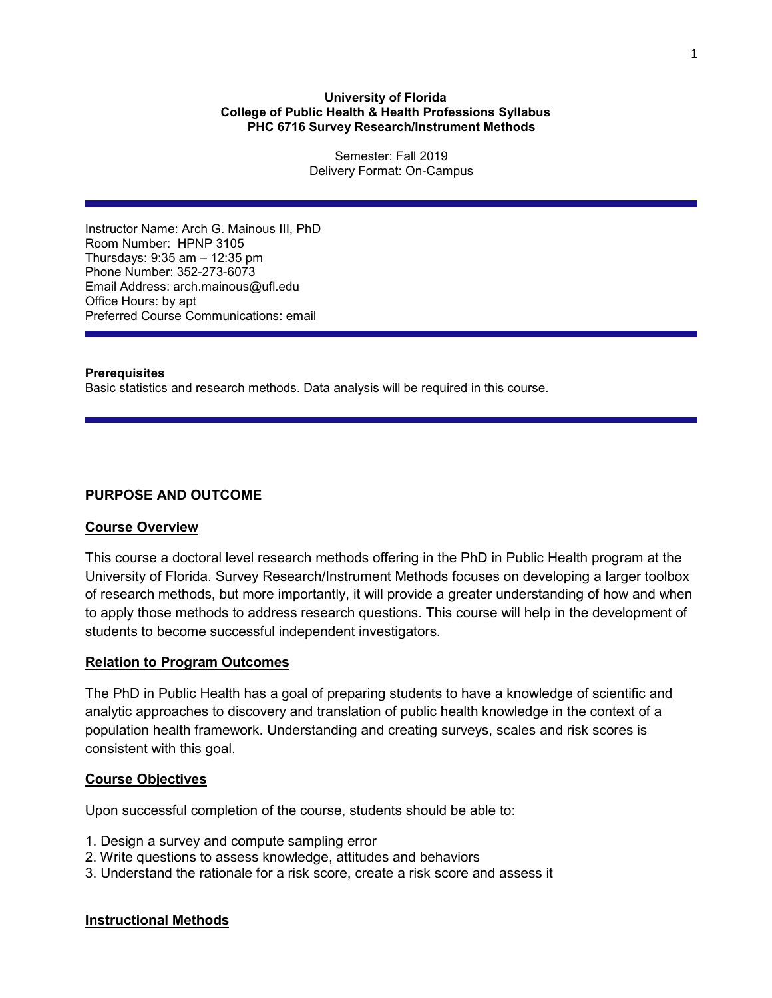#### **University of Florida College of Public Health & Health Professions Syllabus PHC 6716 Survey Research/Instrument Methods**

Semester: Fall 2019 Delivery Format: On-Campus

Instructor Name: Arch G. Mainous III, PhD Room Number: HPNP 3105 Thursdays: 9:35 am – 12:35 pm Phone Number: 352-273-6073 Email Address: arch.mainous@ufl.edu Office Hours: by apt Preferred Course Communications: email

## **Prerequisites**

Basic statistics and research methods. Data analysis will be required in this course.

# **PURPOSE AND OUTCOME**

#### **Course Overview**

This course a doctoral level research methods offering in the PhD in Public Health program at the University of Florida. Survey Research/Instrument Methods focuses on developing a larger toolbox of research methods, but more importantly, it will provide a greater understanding of how and when to apply those methods to address research questions. This course will help in the development of students to become successful independent investigators.

# **Relation to Program Outcomes**

The PhD in Public Health has a goal of preparing students to have a knowledge of scientific and analytic approaches to discovery and translation of public health knowledge in the context of a population health framework. Understanding and creating surveys, scales and risk scores is consistent with this goal.

# **Course Objectives**

Upon successful completion of the course, students should be able to:

- 1. Design a survey and compute sampling error
- 2. Write questions to assess knowledge, attitudes and behaviors
- 3. Understand the rationale for a risk score, create a risk score and assess it

# **Instructional Methods**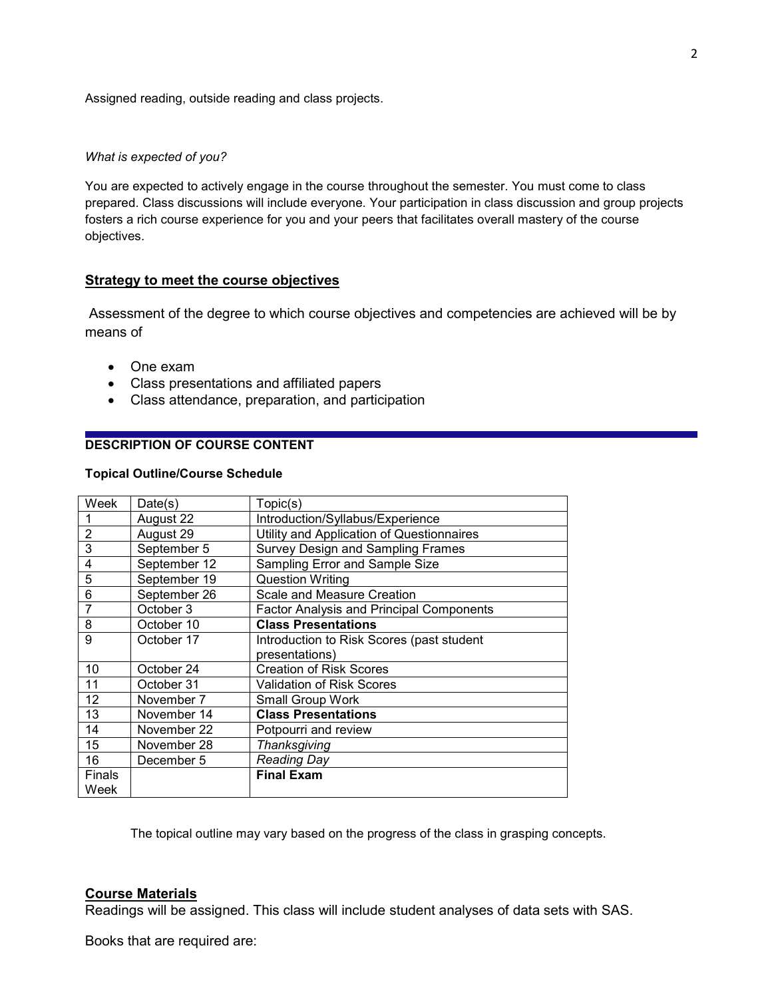Assigned reading, outside reading and class projects.

#### *What is expected of you?*

You are expected to actively engage in the course throughout the semester. You must come to class prepared. Class discussions will include everyone. Your participation in class discussion and group projects fosters a rich course experience for you and your peers that facilitates overall mastery of the course objectives.

## **Strategy to meet the course objectives**

Assessment of the degree to which course objectives and competencies are achieved will be by means of

- One exam
- Class presentations and affiliated papers
- Class attendance, preparation, and participation

# **DESCRIPTION OF COURSE CONTENT**

#### **Topical Outline/Course Schedule**

| Week          | Date(s)      | Topic(s)                                        |
|---------------|--------------|-------------------------------------------------|
|               | August 22    | Introduction/Syllabus/Experience                |
| 2             | August 29    | Utility and Application of Questionnaires       |
| 3             | September 5  | <b>Survey Design and Sampling Frames</b>        |
| 4             | September 12 | Sampling Error and Sample Size                  |
| 5             | September 19 | <b>Question Writing</b>                         |
| 6             | September 26 | Scale and Measure Creation                      |
| 7             | October 3    | <b>Factor Analysis and Principal Components</b> |
| 8             | October 10   | <b>Class Presentations</b>                      |
| 9             | October 17   | Introduction to Risk Scores (past student       |
|               |              | presentations)                                  |
| 10            | October 24   | <b>Creation of Risk Scores</b>                  |
| 11            | October 31   | <b>Validation of Risk Scores</b>                |
| 12            | November 7   | Small Group Work                                |
| 13            | November 14  | <b>Class Presentations</b>                      |
| 14            | November 22  | Potpourri and review                            |
| 15            | November 28  | Thanksgiving                                    |
| 16            | December 5   | <b>Reading Day</b>                              |
| <b>Finals</b> |              | <b>Final Exam</b>                               |
| Week          |              |                                                 |

The topical outline may vary based on the progress of the class in grasping concepts.

# **Course Materials**

Readings will be assigned. This class will include student analyses of data sets with SAS.

Books that are required are: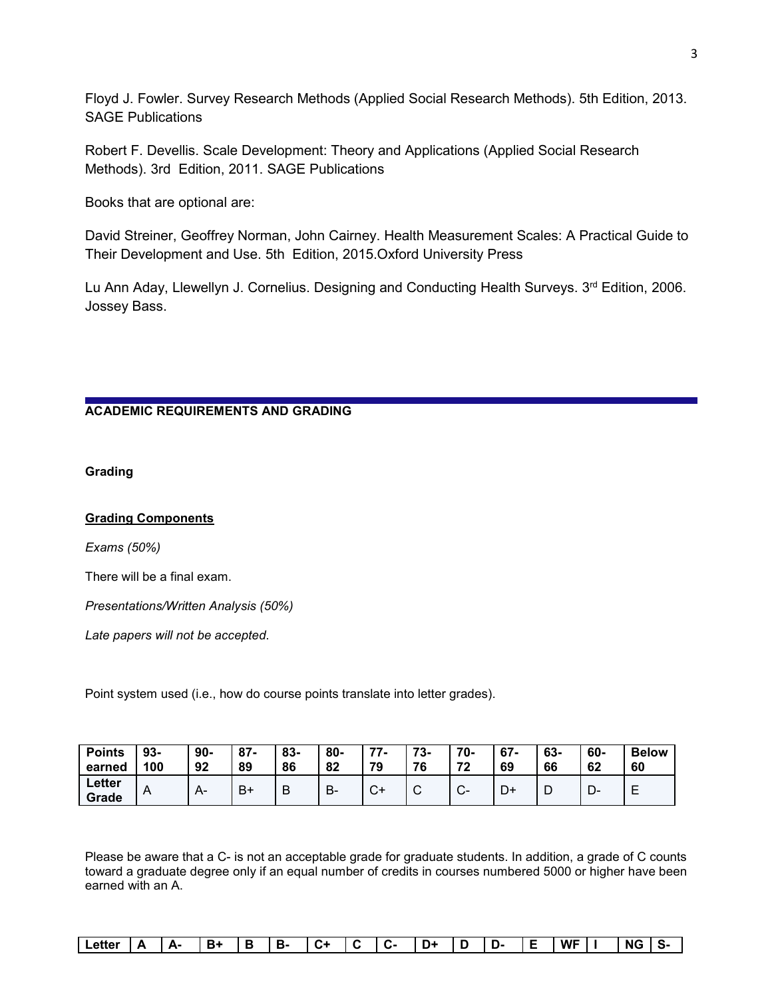Floyd J. Fowler. Survey Research Methods (Applied Social Research Methods). 5th Edition, 2013. SAGE Publications

Robert F. Devellis. Scale Development: Theory and Applications (Applied Social Research Methods). 3rd Edition, 2011. SAGE Publications

Books that are optional are:

David Streiner, Geoffrey Norman, John Cairney. Health Measurement Scales: A Practical Guide to Their Development and Use. 5th Edition, 2015.Oxford University Press

Lu Ann Aday, Llewellyn J. Cornelius. Designing and Conducting Health Surveys. 3<sup>rd</sup> Edition, 2006. Jossey Bass.

# **ACADEMIC REQUIREMENTS AND GRADING**

# **Grading**

# **Grading Components**

*Exams (50%)*

There will be a final exam.

*Presentations/Written Analysis (50%)*

*Late papers will not be accepted*.

Point system used (i.e., how do course points translate into letter grades).

| <b>Points</b><br>earned | $93 -$<br>100 | $90-$<br>92 | $87 -$<br>89 | 83-<br>86 | 80-<br>82 | 77<br>$\prime$ -<br>79 | 70<br>76        | 70-<br>72 | $67 -$<br>69 | 63-<br>66 | 60-<br>62 | <b>Below</b><br>60 |
|-------------------------|---------------|-------------|--------------|-----------|-----------|------------------------|-----------------|-----------|--------------|-----------|-----------|--------------------|
| Letter<br>Grade         | A             | $H^-$       | B+           | B         | D<br>D-   | $\sim$<br>◡            | $\sqrt{ }$<br>◡ | $\sim$    | <u>یں</u>    | ┕         | ∍<br>− ∪− | -                  |

Please be aware that a C- is not an acceptable grade for graduate students. In addition, a grade of C counts toward a graduate degree only if an equal number of credits in courses numbered 5000 or higher have been earned with an A.

| ∟etter | <br>- | д. | --<br>_ |  | --<br>. . | $\overline{ }$<br>$\cdot$ |  | . <b>.</b> . | . .<br>. .<br> | . . | U- | $\frac{1}{2} \left( \frac{1}{2} \right) \left( \frac{1}{2} \right) \left( \frac{1}{2} \right) \left( \frac{1}{2} \right) \left( \frac{1}{2} \right) \left( \frac{1}{2} \right) \left( \frac{1}{2} \right) \left( \frac{1}{2} \right) \left( \frac{1}{2} \right) \left( \frac{1}{2} \right) \left( \frac{1}{2} \right) \left( \frac{1}{2} \right) \left( \frac{1}{2} \right) \left( \frac{1}{2} \right) \left( \frac{1}{2} \right) \left( \frac{1}{2} \right) \left( \frac$ | <b>WF</b> |  | NG |  |
|--------|-------|----|---------|--|-----------|---------------------------|--|--------------|----------------|-----|----|----------------------------------------------------------------------------------------------------------------------------------------------------------------------------------------------------------------------------------------------------------------------------------------------------------------------------------------------------------------------------------------------------------------------------------------------------------------------------|-----------|--|----|--|
|--------|-------|----|---------|--|-----------|---------------------------|--|--------------|----------------|-----|----|----------------------------------------------------------------------------------------------------------------------------------------------------------------------------------------------------------------------------------------------------------------------------------------------------------------------------------------------------------------------------------------------------------------------------------------------------------------------------|-----------|--|----|--|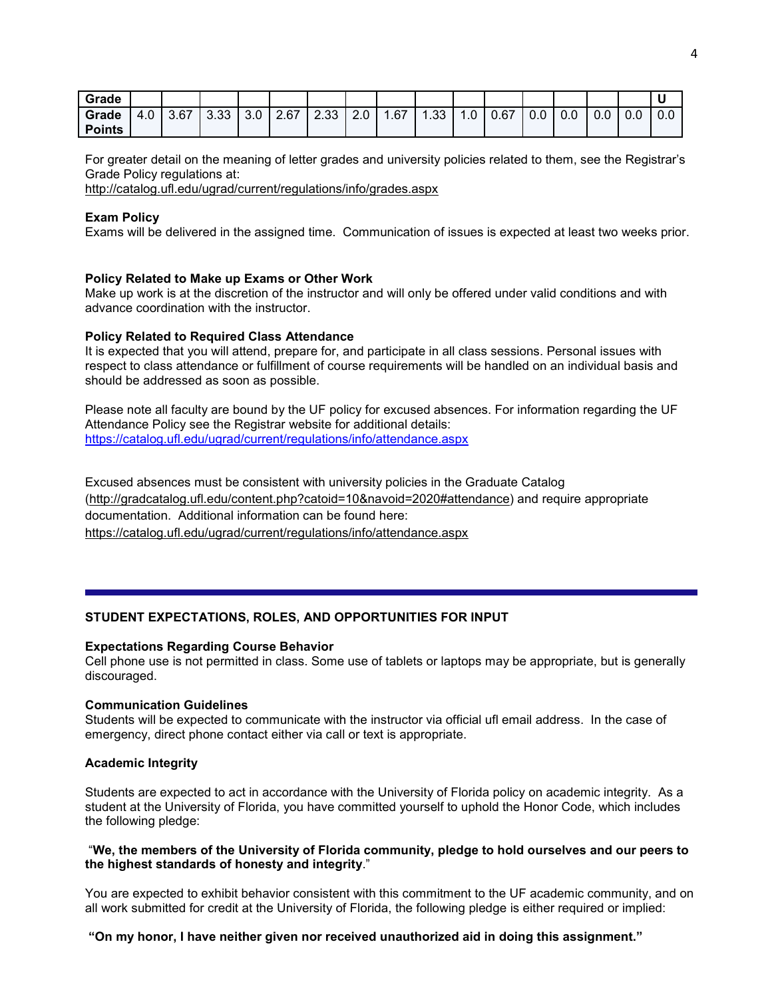| Grade         |     |      |      |     |      |      |     |     |     |    |      |     |     |     |     | u   |
|---------------|-----|------|------|-----|------|------|-----|-----|-----|----|------|-----|-----|-----|-----|-----|
| Grade         | 4.0 | 3.67 | 3.33 | 3.0 | 2.67 | 2.33 | 2.0 | .67 | .33 | .0 | 0.67 | 0.0 | 0.0 | 0.0 | 0.0 | 0.0 |
| <b>Points</b> |     |      |      |     |      |      |     |     |     |    |      |     |     |     |     |     |

For greater detail on the meaning of letter grades and university policies related to them, see the Registrar's Grade Policy regulations at:

<http://catalog.ufl.edu/ugrad/current/regulations/info/grades.aspx>

## **Exam Policy**

Exams will be delivered in the assigned time. Communication of issues is expected at least two weeks prior.

## **Policy Related to Make up Exams or Other Work**

Make up work is at the discretion of the instructor and will only be offered under valid conditions and with advance coordination with the instructor.

## **Policy Related to Required Class Attendance**

It is expected that you will attend, prepare for, and participate in all class sessions. Personal issues with respect to class attendance or fulfillment of course requirements will be handled on an individual basis and should be addressed as soon as possible.

Please note all faculty are bound by the UF policy for excused absences. For information regarding the UF Attendance Policy see the Registrar website for additional details: <https://catalog.ufl.edu/ugrad/current/regulations/info/attendance.aspx>

Excused absences must be consistent with university policies in the Graduate Catalog [\(http://gradcatalog.ufl.edu/content.php?catoid=10&navoid=2020#attendance\)](http://gradcatalog.ufl.edu/content.php?catoid=10&navoid=2020#attendance) and require appropriate documentation. Additional information can be found here: <https://catalog.ufl.edu/ugrad/current/regulations/info/attendance.aspx>

# **STUDENT EXPECTATIONS, ROLES, AND OPPORTUNITIES FOR INPUT**

#### **Expectations Regarding Course Behavior**

Cell phone use is not permitted in class. Some use of tablets or laptops may be appropriate, but is generally discouraged.

#### **Communication Guidelines**

Students will be expected to communicate with the instructor via official ufl email address. In the case of emergency, direct phone contact either via call or text is appropriate.

#### **Academic Integrity**

Students are expected to act in accordance with the University of Florida policy on academic integrity. As a student at the University of Florida, you have committed yourself to uphold the Honor Code, which includes the following pledge:

#### "**We, the members of the University of Florida community, pledge to hold ourselves and our peers to the highest standards of honesty and integrity**."

You are expected to exhibit behavior consistent with this commitment to the UF academic community, and on all work submitted for credit at the University of Florida, the following pledge is either required or implied:

#### **"On my honor, I have neither given nor received unauthorized aid in doing this assignment."**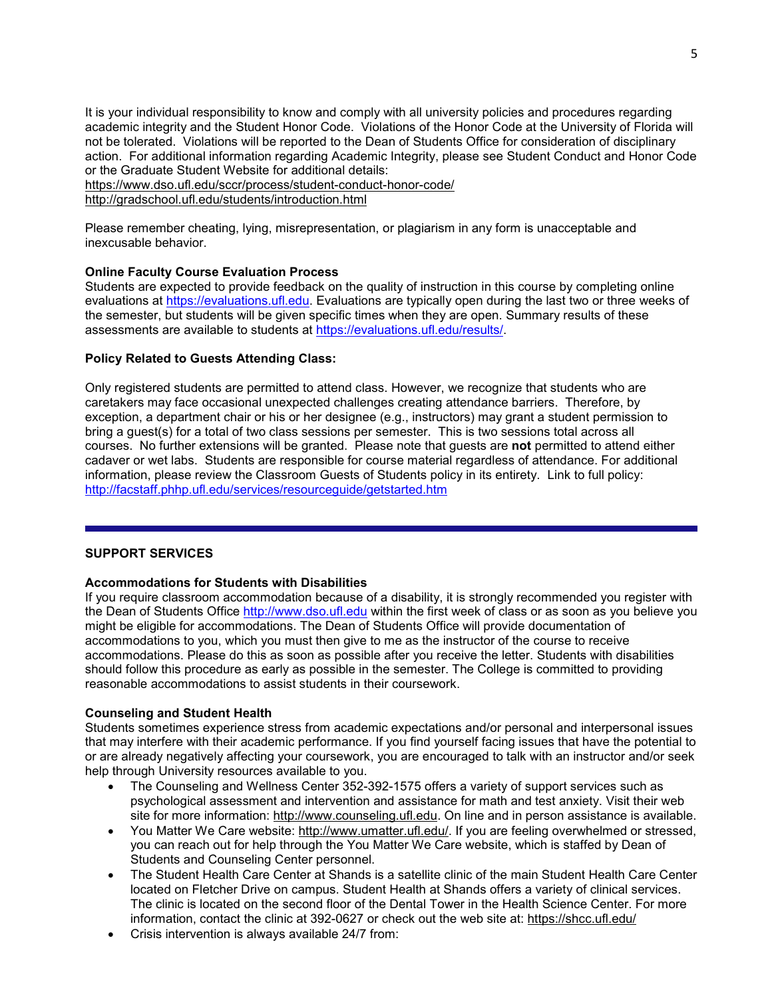It is your individual responsibility to know and comply with all university policies and procedures regarding academic integrity and the Student Honor Code. Violations of the Honor Code at the University of Florida will not be tolerated. Violations will be reported to the Dean of Students Office for consideration of disciplinary action. For additional information regarding Academic Integrity, please see Student Conduct and Honor Code or the Graduate Student Website for additional details:

<https://www.dso.ufl.edu/sccr/process/student-conduct-honor-code/>

<http://gradschool.ufl.edu/students/introduction.html>

Please remember cheating, lying, misrepresentation, or plagiarism in any form is unacceptable and inexcusable behavior.

# **Online Faculty Course Evaluation Process**

Students are expected to provide feedback on the quality of instruction in this course by completing online evaluations at [https://evaluations.ufl.edu.](https://evaluations.ufl.edu/) Evaluations are typically open during the last two or three weeks of the semester, but students will be given specific times when they are open. Summary results of these assessments are available to students at [https://evaluations.ufl.edu/results/.](https://evaluations.ufl.edu/results/)

## **Policy Related to Guests Attending Class:**

Only registered students are permitted to attend class. However, we recognize that students who are caretakers may face occasional unexpected challenges creating attendance barriers. Therefore, by exception, a department chair or his or her designee (e.g., instructors) may grant a student permission to bring a guest(s) for a total of two class sessions per semester. This is two sessions total across all courses. No further extensions will be granted. Please note that guests are **not** permitted to attend either cadaver or wet labs. Students are responsible for course material regardless of attendance. For additional information, please review the Classroom Guests of Students policy in its entirety. Link to full policy: <http://facstaff.phhp.ufl.edu/services/resourceguide/getstarted.htm>

#### **SUPPORT SERVICES**

#### **Accommodations for Students with Disabilities**

If you require classroom accommodation because of a disability, it is strongly recommended you register with the Dean of Students Office [http://www.dso.ufl.edu](http://www.dso.ufl.edu/) within the first week of class or as soon as you believe you might be eligible for accommodations. The Dean of Students Office will provide documentation of accommodations to you, which you must then give to me as the instructor of the course to receive accommodations. Please do this as soon as possible after you receive the letter. Students with disabilities should follow this procedure as early as possible in the semester. The College is committed to providing reasonable accommodations to assist students in their coursework.

#### **Counseling and Student Health**

Students sometimes experience stress from academic expectations and/or personal and interpersonal issues that may interfere with their academic performance. If you find yourself facing issues that have the potential to or are already negatively affecting your coursework, you are encouraged to talk with an instructor and/or seek help through University resources available to you.

- The Counseling and Wellness Center 352-392-1575 offers a variety of support services such as psychological assessment and intervention and assistance for math and test anxiety. Visit their web site for more information: [http://www.counseling.ufl.edu.](http://www.counseling.ufl.edu/) On line and in person assistance is available.
- You Matter We Care website: [http://www.umatter.ufl.edu/.](http://www.umatter.ufl.edu/) If you are feeling overwhelmed or stressed, you can reach out for help through the You Matter We Care website, which is staffed by Dean of Students and Counseling Center personnel.
- The Student Health Care Center at Shands is a satellite clinic of the main Student Health Care Center located on Fletcher Drive on campus. Student Health at Shands offers a variety of clinical services. The clinic is located on the second floor of the Dental Tower in the Health Science Center. For more information, contact the clinic at 392-0627 or check out the web site at: <https://shcc.ufl.edu/>
- Crisis intervention is always available 24/7 from: